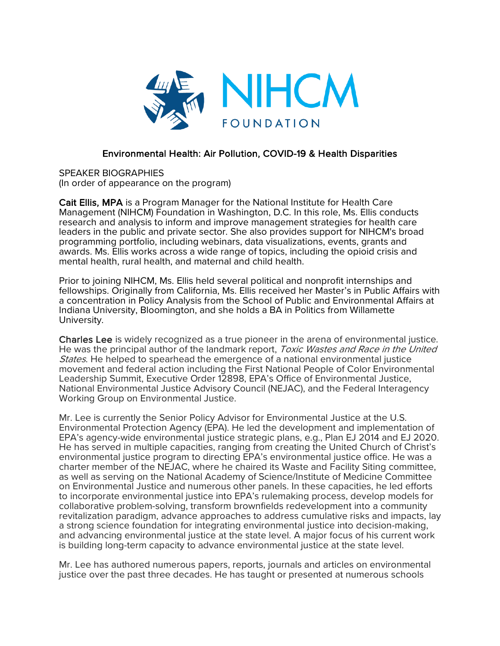

## Environmental Health: Air Pollution, COVID-19 & Health Disparities

SPEAKER BIOGRAPHIES (In order of appearance on the program)

Cait Ellis, MPA is a Program Manager for the National Institute for Health Care Management (NIHCM) Foundation in Washington, D.C. In this role, Ms. Ellis conducts research and analysis to inform and improve management strategies for health care leaders in the public and private sector. She also provides support for NIHCM's broad programming portfolio, including webinars, data visualizations, events, grants and awards. Ms. Ellis works across a wide range of topics, including the opioid crisis and mental health, rural health, and maternal and child health.

Prior to joining NIHCM, Ms. Ellis held several political and nonprofit internships and fellowships. Originally from California, Ms. Ellis received her Master's in Public Affairs with a concentration in Policy Analysis from the School of Public and Environmental Affairs at Indiana University, Bloomington, and she holds a BA in Politics from Willamette University.

Charles Lee is widely recognized as a true pioneer in the arena of environmental justice. He was the principal author of the landmark report, Toxic Wastes and Race in the United States. He helped to spearhead the emergence of a national environmental justice movement and federal action including the First National People of Color Environmental Leadership Summit, Executive Order 12898, EPA's Office of Environmental Justice, National Environmental Justice Advisory Council (NEJAC), and the Federal Interagency Working Group on Environmental Justice.

Mr. Lee is currently the Senior Policy Advisor for Environmental Justice at the U.S. Environmental Protection Agency (EPA). He led the development and implementation of EPA's agency-wide environmental justice strategic plans, e.g., Plan EJ 2014 and EJ 2020. He has served in multiple capacities, ranging from creating the United Church of Christ's environmental justice program to directing EPA's environmental justice office. He was a charter member of the NEJAC, where he chaired its Waste and Facility Siting committee, as well as serving on the National Academy of Science/Institute of Medicine Committee on Environmental Justice and numerous other panels. In these capacities, he led efforts to incorporate environmental justice into EPA's rulemaking process, develop models for collaborative problem-solving, transform brownfields redevelopment into a community revitalization paradigm, advance approaches to address cumulative risks and impacts, lay a strong science foundation for integrating environmental justice into decision-making, and advancing environmental justice at the state level. A major focus of his current work is building long-term capacity to advance environmental justice at the state level.

Mr. Lee has authored numerous papers, reports, journals and articles on environmental justice over the past three decades. He has taught or presented at numerous schools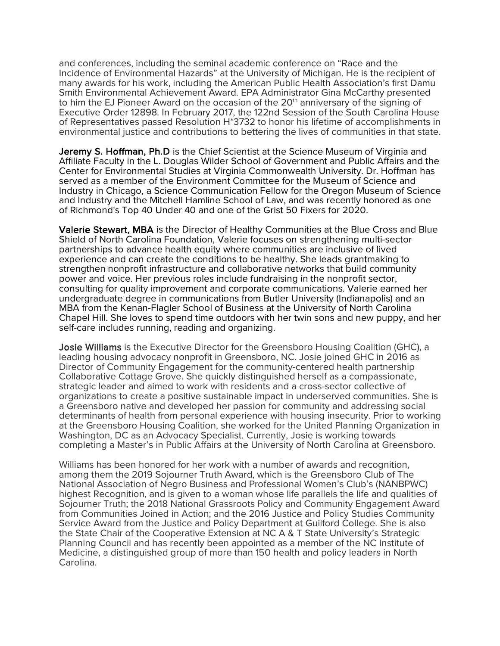and conferences, including the seminal academic conference on "Race and the Incidence of Environmental Hazards" at the University of Michigan. He is the recipient of many awards for his work, including the American Public Health Association's first Damu Smith Environmental Achievement Award. EPA Administrator Gina McCarthy presented to him the EJ Pioneer Award on the occasion of the 20<sup>th</sup> anniversary of the signing of Executive Order 12898. In February 2017, the 122nd Session of the South Carolina House of Representatives passed Resolution H\*3732 to honor his lifetime of accomplishments in environmental justice and contributions to bettering the lives of communities in that state.

Jeremy S. Hoffman, Ph.D is the Chief Scientist at the Science Museum of Virginia and Affiliate Faculty in the L. Douglas Wilder School of Government and Public Affairs and the Center for Environmental Studies at Virginia Commonwealth University. Dr. Hoffman has served as a member of the Environment Committee for the Museum of Science and Industry in Chicago, a Science Communication Fellow for the Oregon Museum of Science and Industry and the Mitchell Hamline School of Law, and was recently honored as one of Richmond's Top 40 Under 40 and one of the Grist 50 Fixers for 2020.

Valerie Stewart, MBA is the Director of Healthy Communities at the Blue Cross and Blue Shield of North Carolina Foundation, Valerie focuses on strengthening multi-sector partnerships to advance health equity where communities are inclusive of lived experience and can create the conditions to be healthy. She leads grantmaking to strengthen nonprofit infrastructure and collaborative networks that build community power and voice. Her previous roles include fundraising in the nonprofit sector, consulting for quality improvement and corporate communications. Valerie earned her undergraduate degree in communications from Butler University (Indianapolis) and an MBA from the Kenan-Flagler School of Business at the University of North Carolina Chapel Hill. She loves to spend time outdoors with her twin sons and new puppy, and her self-care includes running, reading and organizing.

Josie Williams is the Executive Director for the Greensboro Housing Coalition (GHC), a leading housing advocacy nonprofit in Greensboro, NC. Josie joined GHC in 2016 as Director of Community Engagement for the community-centered health partnership Collaborative Cottage Grove. She quickly distinguished herself as a compassionate, strategic leader and aimed to work with residents and a cross-sector collective of organizations to create a positive sustainable impact in underserved communities. She is a Greensboro native and developed her passion for community and addressing social determinants of health from personal experience with housing insecurity. Prior to working at the Greensboro Housing Coalition, she worked for the United Planning Organization in Washington, DC as an Advocacy Specialist. Currently, Josie is working towards completing a Master's in Public Affairs at the University of North Carolina at Greensboro.

Williams has been honored for her work with a number of awards and recognition, among them the 2019 Sojourner Truth Award, which is the Greensboro Club of The National Association of Negro Business and Professional Women's Club's (NANBPWC) highest Recognition, and is given to a woman whose life parallels the life and qualities of Sojourner Truth; the 2018 National Grassroots Policy and Community Engagement Award from Communities Joined in Action; and the 2016 Justice and Policy Studies Community Service Award from the Justice and Policy Department at Guilford College. She is also the State Chair of the Cooperative Extension at NC A & T State University's Strategic Planning Council and has recently been appointed as a member of the NC Institute of Medicine, a distinguished group of more than 150 health and policy leaders in North Carolina.